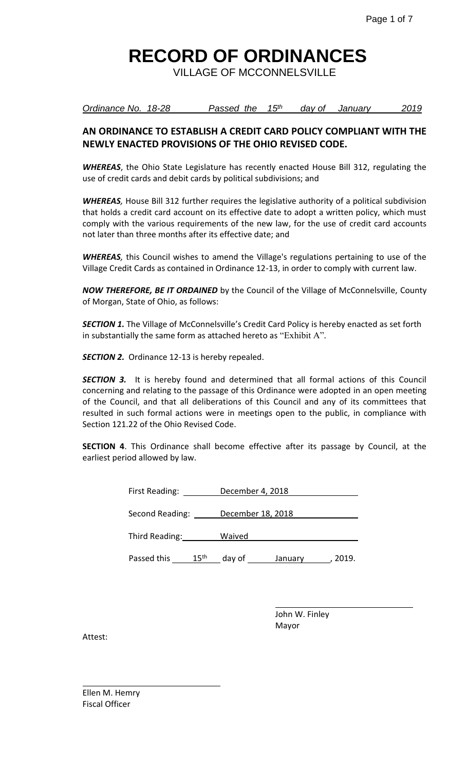VILLAGE OF MCCONNELSVILLE

*Ordinance No. 18-28* Passed the 15<sup>th</sup> day of January 2019

## **AN ORDINANCE TO ESTABLISH A CREDIT CARD POLICY COMPLIANT WITH THE NEWLY ENACTED PROVISIONS OF THE OHIO REVISED CODE.**

*WHEREAS*, the Ohio State Legislature has recently enacted House Bill 312, regulating the use of credit cards and debit cards by political subdivisions; and

*WHEREAS,* House Bill 312 further requires the legislative authority of a political subdivision that holds a credit card account on its effective date to adopt a written policy, which must comply with the various requirements of the new law, for the use of credit card accounts not later than three months after its effective date; and

*WHEREAS,* this Council wishes to amend the Village's regulations pertaining to use of the Village Credit Cards as contained in Ordinance 12-13, in order to comply with current law.

*NOW THEREFORE, BE IT ORDAINED* by the Council of the Village of McConnelsville, County of Morgan, State of Ohio, as follows:

**SECTION 1.** The Village of McConnelsville's Credit Card Policy is hereby enacted as set forth in substantially the same form as attached hereto as "Exhibit A".

*SECTION 2.* Ordinance 12-13 is hereby repealed.

**SECTION 3.** It is hereby found and determined that all formal actions of this Council concerning and relating to the passage of this Ordinance were adopted in an open meeting of the Council, and that all deliberations of this Council and any of its committees that resulted in such formal actions were in meetings open to the public, in compliance with Section 121.22 of the Ohio Revised Code.

**SECTION 4**. This Ordinance shall become effective after its passage by Council, at the earliest period allowed by law.

| First Reading:  |                  | December 4, 2018  |         |       |
|-----------------|------------------|-------------------|---------|-------|
| Second Reading: |                  | December 18, 2018 |         |       |
| Third Reading:  |                  | Waived            |         |       |
| Passed this     | 15 <sup>th</sup> | day of            | January | 2019. |

j.

John W. Finley Mayor

Attest:

Ellen M. Hemry Fiscal Officer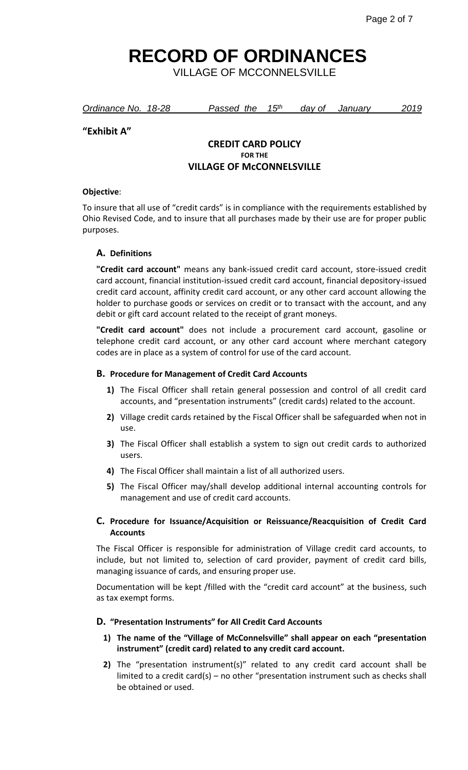VILLAGE OF MCCONNELSVILLE

| Ordinance No. 18-28 | Passed the 15 <sup>th</sup> | dav of | January | 2019 |
|---------------------|-----------------------------|--------|---------|------|
|                     |                             |        |         |      |

## **"Exhibit A"**

## **CREDIT CARD POLICY FOR THE VILLAGE OF McCONNELSVILLE**

#### **Objective**:

To insure that all use of "credit cards" is in compliance with the requirements established by Ohio Revised Code, and to insure that all purchases made by their use are for proper public purposes.

## **A. Definitions**

**"Credit card account"** means any bank-issued credit card account, store-issued credit card account, financial institution-issued credit card account, financial depository-issued credit card account, affinity credit card account, or any other card account allowing the holder to purchase goods or services on credit or to transact with the account, and any debit or gift card account related to the receipt of grant moneys.

**"Credit card account"** does not include a procurement card account, gasoline or telephone credit card account, or any other card account where merchant category codes are in place as a system of control for use of the card account.

#### **B. Procedure for Management of Credit Card Accounts**

- **1)** The Fiscal Officer shall retain general possession and control of all credit card accounts, and "presentation instruments" (credit cards) related to the account.
- **2)** Village credit cards retained by the Fiscal Officer shall be safeguarded when not in use.
- **3)** The Fiscal Officer shall establish a system to sign out credit cards to authorized users.
- **4)** The Fiscal Officer shall maintain a list of all authorized users.
- **5)** The Fiscal Officer may/shall develop additional internal accounting controls for management and use of credit card accounts.

## **C. Procedure for Issuance/Acquisition or Reissuance/Reacquisition of Credit Card Accounts**

The Fiscal Officer is responsible for administration of Village credit card accounts, to include, but not limited to, selection of card provider, payment of credit card bills, managing issuance of cards, and ensuring proper use.

Documentation will be kept /filled with the "credit card account" at the business, such as tax exempt forms.

#### **D. "Presentation Instruments" for All Credit Card Accounts**

## **1) The name of the "Village of McConnelsville" shall appear on each "presentation instrument" (credit card) related to any credit card account.**

**2)** The "presentation instrument(s)" related to any credit card account shall be limited to a credit card(s) – no other "presentation instrument such as checks shall be obtained or used.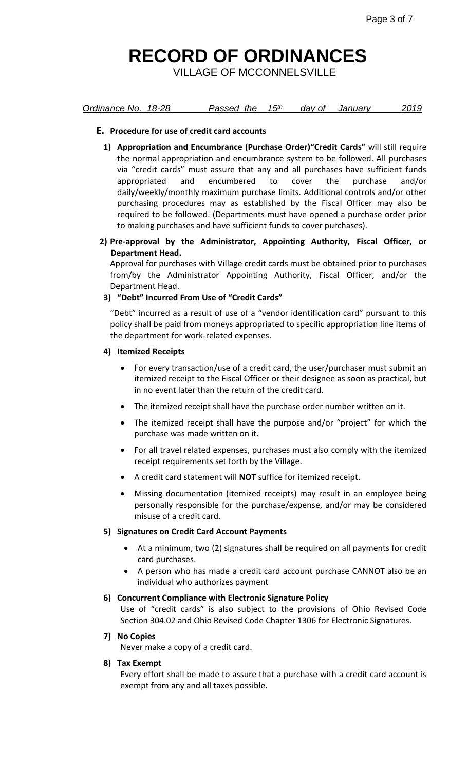VILLAGE OF MCCONNELSVILLE

*Ordinance No. 18-28 Passed the 15th day of January 2019*

## **E. Procedure for use of credit card accounts**

- **1) Appropriation and Encumbrance (Purchase Order)"Credit Cards"** will still require the normal appropriation and encumbrance system to be followed. All purchases via "credit cards" must assure that any and all purchases have sufficient funds appropriated and encumbered to cover the purchase and/or daily/weekly/monthly maximum purchase limits. Additional controls and/or other purchasing procedures may as established by the Fiscal Officer may also be required to be followed. (Departments must have opened a purchase order prior to making purchases and have sufficient funds to cover purchases).
- **2) Pre-approval by the Administrator, Appointing Authority, Fiscal Officer, or Department Head.**

Approval for purchases with Village credit cards must be obtained prior to purchases from/by the Administrator Appointing Authority, Fiscal Officer, and/or the Department Head.

## **3) "Debt" Incurred From Use of "Credit Cards"**

"Debt" incurred as a result of use of a "vendor identification card" pursuant to this policy shall be paid from moneys appropriated to specific appropriation line items of the department for work-related expenses.

## **4) Itemized Receipts**

- For every transaction/use of a credit card, the user/purchaser must submit an itemized receipt to the Fiscal Officer or their designee as soon as practical, but in no event later than the return of the credit card.
- The itemized receipt shall have the purchase order number written on it.
- The itemized receipt shall have the purpose and/or "project" for which the purchase was made written on it.
- For all travel related expenses, purchases must also comply with the itemized receipt requirements set forth by the Village.
- A credit card statement will **NOT** suffice for itemized receipt.
- Missing documentation (itemized receipts) may result in an employee being personally responsible for the purchase/expense, and/or may be considered misuse of a credit card.

## **5) Signatures on Credit Card Account Payments**

- At a minimum, two (2) signatures shall be required on all payments for credit card purchases.
- A person who has made a credit card account purchase CANNOT also be an individual who authorizes payment

## **6) Concurrent Compliance with Electronic Signature Policy**

Use of "credit cards" is also subject to the provisions of Ohio Revised Code Section 304.02 and Ohio Revised Code Chapter 1306 for Electronic Signatures.

## **7) No Copies**

Never make a copy of a credit card.

## **8) Tax Exempt**

Every effort shall be made to assure that a purchase with a credit card account is exempt from any and all taxes possible.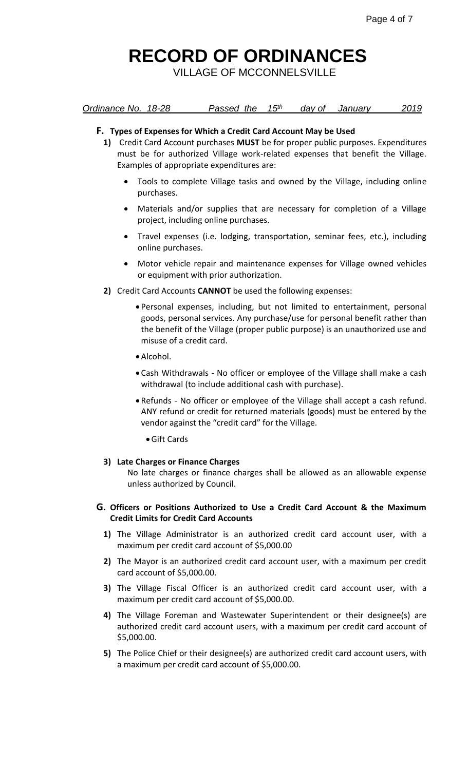VILLAGE OF MCCONNELSVILLE

|  | Ordinance No. 18-28 |  | Passed the 15 <sup>th</sup> |  | day of | January | 2019 |
|--|---------------------|--|-----------------------------|--|--------|---------|------|
|--|---------------------|--|-----------------------------|--|--------|---------|------|

#### **F. Types of Expenses for Which a Credit Card Account May be Used**

- **1)** Credit Card Account purchases **MUST** be for proper public purposes. Expenditures must be for authorized Village work-related expenses that benefit the Village. Examples of appropriate expenditures are:
	- Tools to complete Village tasks and owned by the Village, including online purchases.
	- Materials and/or supplies that are necessary for completion of a Village project, including online purchases.
	- Travel expenses (i.e. lodging, transportation, seminar fees, etc.), including online purchases.
	- Motor vehicle repair and maintenance expenses for Village owned vehicles or equipment with prior authorization.
- **2)** Credit Card Accounts **CANNOT** be used the following expenses:
	- Personal expenses, including, but not limited to entertainment, personal goods, personal services. Any purchase/use for personal benefit rather than the benefit of the Village (proper public purpose) is an unauthorized use and misuse of a credit card.
	- Alcohol.
	- Cash Withdrawals No officer or employee of the Village shall make a cash withdrawal (to include additional cash with purchase).
	- Refunds No officer or employee of the Village shall accept a cash refund. ANY refund or credit for returned materials (goods) must be entered by the vendor against the "credit card" for the Village.
		- Gift Cards

#### **3) Late Charges or Finance Charges**

No late charges or finance charges shall be allowed as an allowable expense unless authorized by Council.

#### **G. Officers or Positions Authorized to Use a Credit Card Account & the Maximum Credit Limits for Credit Card Accounts**

- **1)** The Village Administrator is an authorized credit card account user, with a maximum per credit card account of \$5,000.00
- **2)** The Mayor is an authorized credit card account user, with a maximum per credit card account of \$5,000.00.
- **3)** The Village Fiscal Officer is an authorized credit card account user, with a maximum per credit card account of \$5,000.00.
- **4)** The Village Foreman and Wastewater Superintendent or their designee(s) are authorized credit card account users, with a maximum per credit card account of \$5,000.00.
- **5)** The Police Chief or their designee(s) are authorized credit card account users, with a maximum per credit card account of \$5,000.00.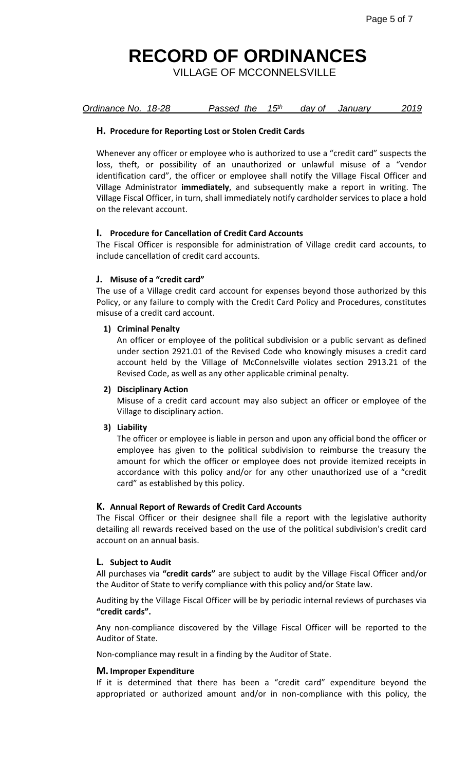VILLAGE OF MCCONNELSVILLE

|  | Ordinance No. 18-28 |  | Passed the 15 <sup>th</sup> |  | dav of | Januarv | 2019 |
|--|---------------------|--|-----------------------------|--|--------|---------|------|
|--|---------------------|--|-----------------------------|--|--------|---------|------|

## **H. Procedure for Reporting Lost or Stolen Credit Cards**

Whenever any officer or employee who is authorized to use a "credit card" suspects the loss, theft, or possibility of an unauthorized or unlawful misuse of a "vendor identification card", the officer or employee shall notify the Village Fiscal Officer and Village Administrator **immediately**, and subsequently make a report in writing. The Village Fiscal Officer, in turn, shall immediately notify cardholder services to place a hold on the relevant account.

## **I. Procedure for Cancellation of Credit Card Accounts**

The Fiscal Officer is responsible for administration of Village credit card accounts, to include cancellation of credit card accounts.

## **J. Misuse of a "credit card"**

The use of a Village credit card account for expenses beyond those authorized by this Policy, or any failure to comply with the Credit Card Policy and Procedures, constitutes misuse of a credit card account.

## **1) Criminal Penalty**

An officer or employee of the political subdivision or a public servant as defined under section 2921.01 of the Revised Code who knowingly misuses a credit card account held by the Village of McConnelsville violates section 2913.21 of the Revised Code, as well as any other applicable criminal penalty.

## **2) Disciplinary Action**

Misuse of a credit card account may also subject an officer or employee of the Village to disciplinary action.

## **3) Liability**

The officer or employee is liable in person and upon any official bond the officer or employee has given to the political subdivision to reimburse the treasury the amount for which the officer or employee does not provide itemized receipts in accordance with this policy and/or for any other unauthorized use of a "credit card" as established by this policy.

## **K. Annual Report of Rewards of Credit Card Accounts**

The Fiscal Officer or their designee shall file a report with the legislative authority detailing all rewards received based on the use of the political subdivision's credit card account on an annual basis.

## **L. Subject to Audit**

All purchases via **"credit cards"** are subject to audit by the Village Fiscal Officer and/or the Auditor of State to verify compliance with this policy and/or State law.

Auditing by the Village Fiscal Officer will be by periodic internal reviews of purchases via **"credit cards".**

Any non-compliance discovered by the Village Fiscal Officer will be reported to the Auditor of State.

Non-compliance may result in a finding by the Auditor of State.

## **M. Improper Expenditure**

If it is determined that there has been a "credit card" expenditure beyond the appropriated or authorized amount and/or in non-compliance with this policy, the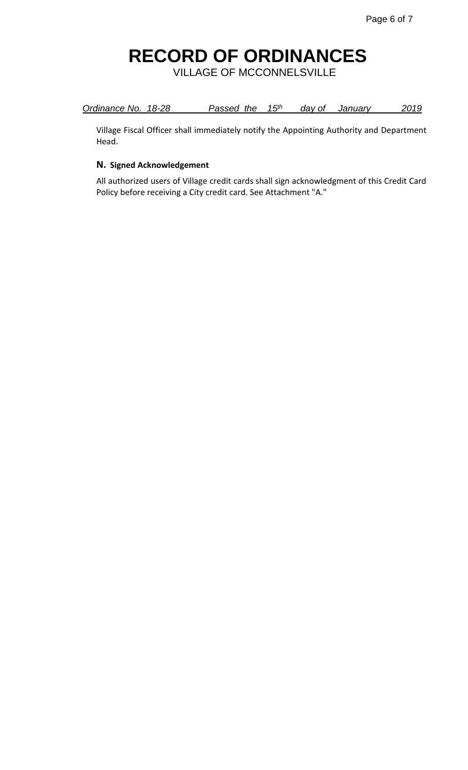VILLAGE OF MCCONNELSVILLE

| Ordinance No. 18-28 | Passed the 15 <sup>th</sup> |  | day of January | 2019 |
|---------------------|-----------------------------|--|----------------|------|
|                     |                             |  |                |      |

Village Fiscal Officer shall immediately notify the Appointing Authority and Department Head.

## **N. Signed Acknowledgement**

All authorized users of Village credit cards shall sign acknowledgment of this Credit Card Policy before receiving a City credit card. See Attachment "A."